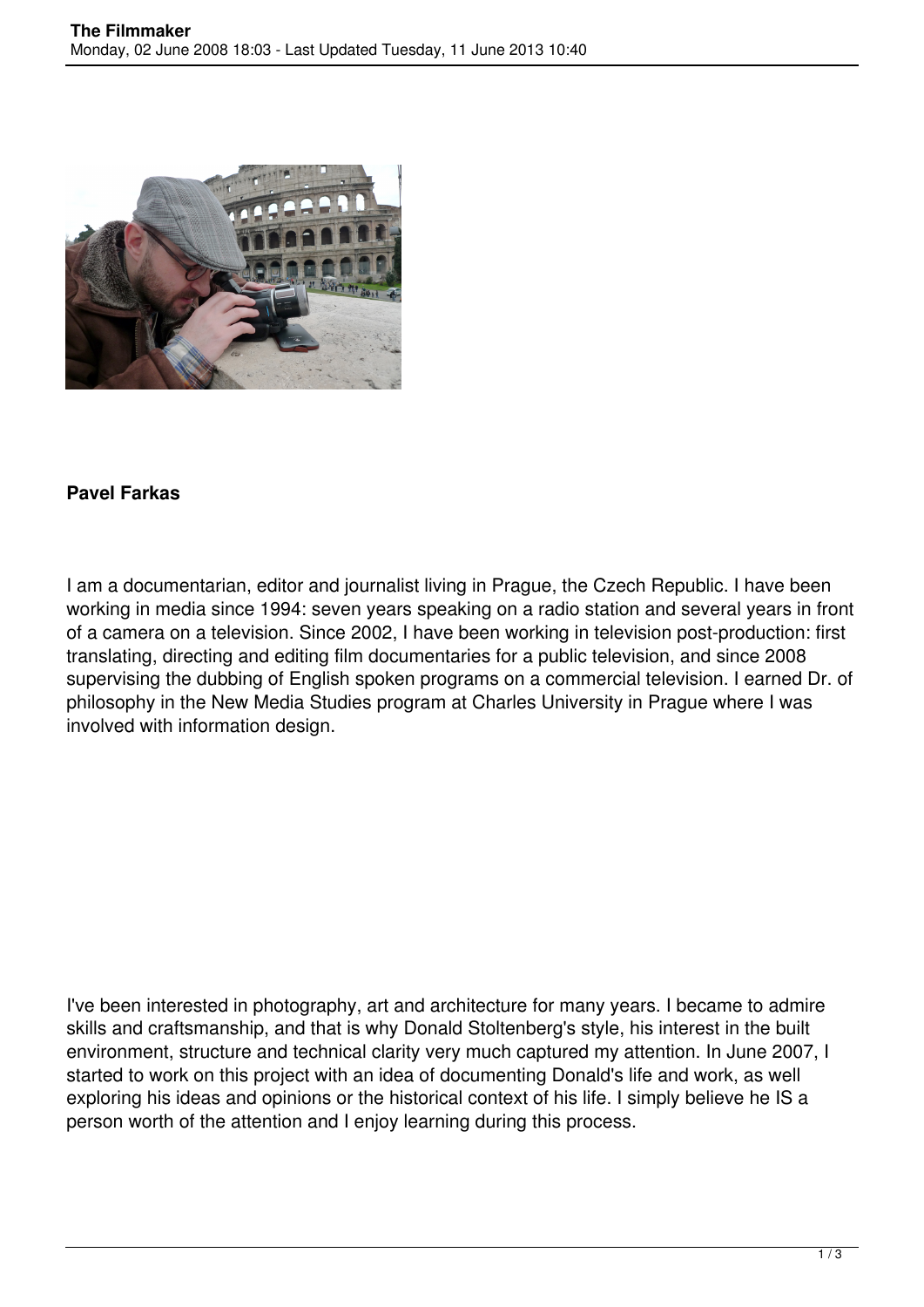

## **Pavel Farkas**

I am a documentarian, editor and journalist living in Prague, the Czech Republic. I have been working in media since 1994: seven years speaking on a radio station and several years in front of a camera on a television. Since 2002, I have been working in television post-production: first translating, directing and editing film documentaries for a public television, and since 2008 supervising the dubbing of English spoken programs on a commercial television. I earned Dr. of philosophy in the New Media Studies program at Charles University in Prague where I was involved with information design.

I've been interested in photography, art and architecture for many years. I became to admire skills and craftsmanship, and that is why Donald Stoltenberg's style, his interest in the built environment, structure and technical clarity very much captured my attention. In June 2007, I started to work on this project with an idea of documenting Donald's life and work, as well exploring his ideas and opinions or the historical context of his life. I simply believe he IS a person worth of the attention and I enjoy learning during this process.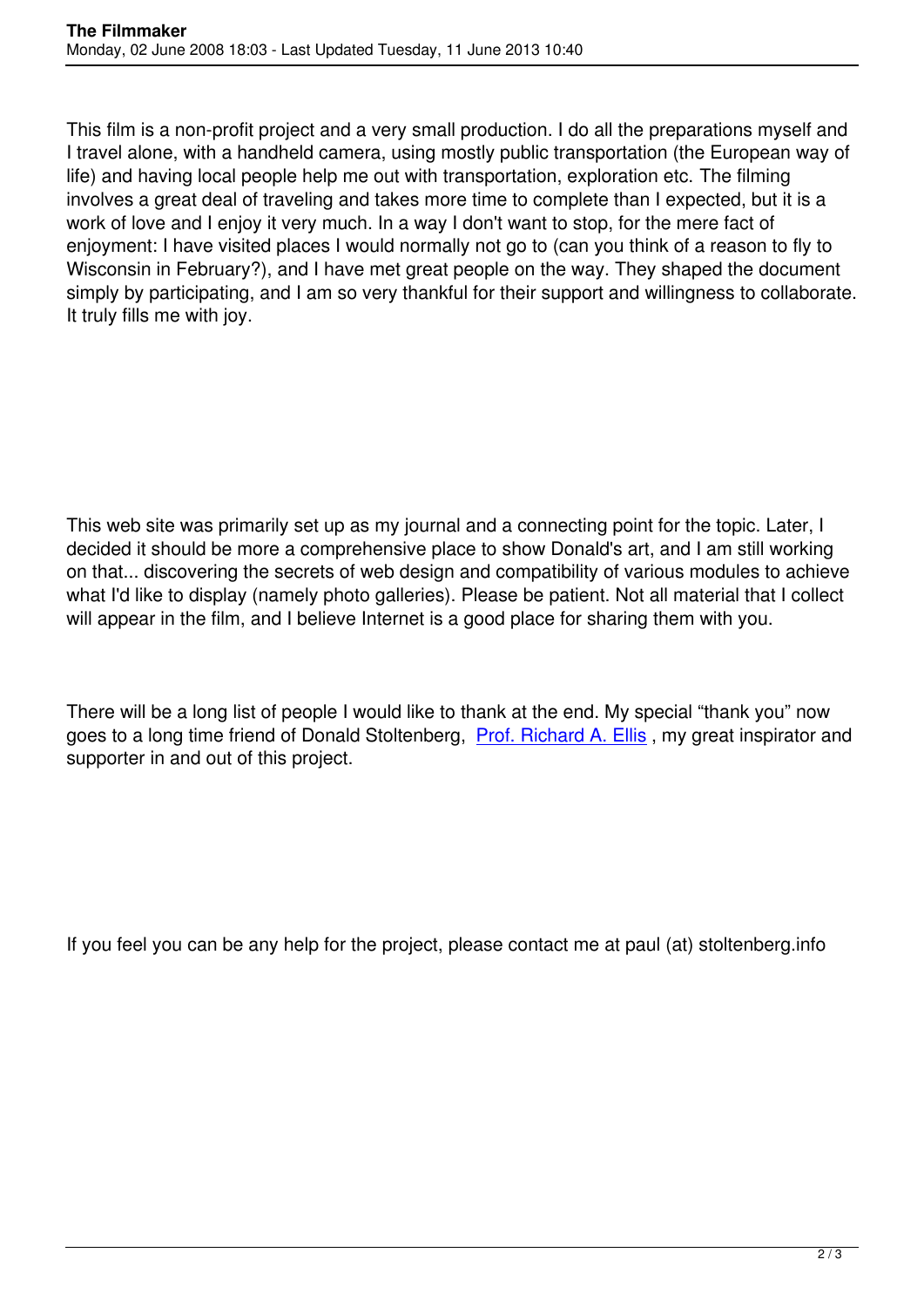This film is a non-profit project and a very small production. I do all the preparations myself and I travel alone, with a handheld camera, using mostly public transportation (the European way of life) and having local people help me out with transportation, exploration etc. The filming involves a great deal of traveling and takes more time to complete than I expected, but it is a work of love and I enjoy it very much. In a way I don't want to stop, for the mere fact of enjoyment: I have visited places I would normally not go to (can you think of a reason to fly to Wisconsin in February?), and I have met great people on the way. They shaped the document simply by participating, and I am so very thankful for their support and willingness to collaborate. It truly fills me with joy.

This web site was primarily set up as my journal and a connecting point for the topic. Later, I decided it should be more a comprehensive place to show Donald's art, and I am still working on that... discovering the secrets of web design and compatibility of various modules to achieve what I'd like to display (namely photo galleries). Please be patient. Not all material that I collect will appear in the film, and I believe Internet is a good place for sharing them with you.

There will be a long list of people I would like to thank at the end. My special "thank you" now goes to a long time friend of Donald Stoltenberg, Prof. Richard A. Ellis , my great inspirator and supporter in and out of this project.

If you feel you can be any help for the project, please contact me at paul (at) stoltenberg.info